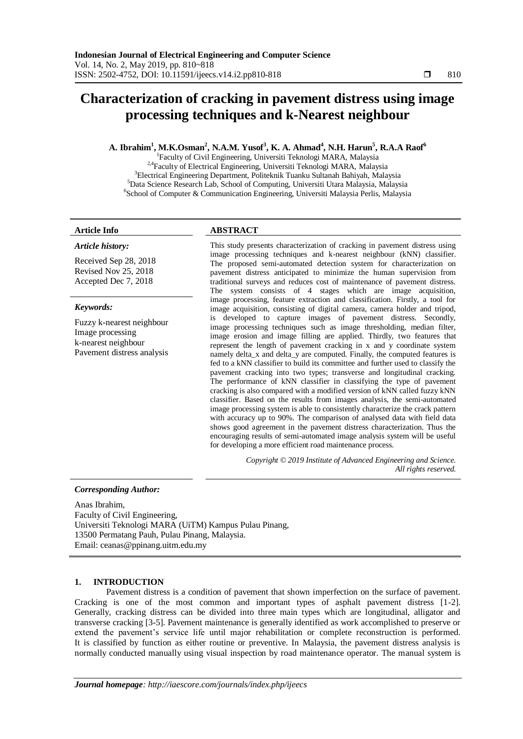# **Characterization of cracking in pavement distress using image processing techniques and k-Nearest neighbour**

# **A. Ibrahim<sup>1</sup> , M.K.Osman<sup>2</sup> , N.A.M. Yusof<sup>3</sup> , K. A. Ahmad<sup>4</sup> , N.H. Harun<sup>5</sup> , R.A.A Raof<sup>6</sup>**

<sup>1</sup>Faculty of Civil Engineering, Universiti Teknologi MARA, Malaysia <sup>2,4</sup>Faculty of Electrical Engineering, Universiti Teknologi MARA, Malaysia <sup>3</sup>Electrical Engineering Department, Politeknik Tuanku Sultanah Bahiyah, Malaysia <sup>5</sup>Data Science Research Lab, School of Computing, Universiti Utara Malaysia, Malaysia 6 School of Computer & Communication Engineering, Universiti Malaysia Perlis, Malaysia

#### **Article Info ABSTRACT**

#### *Article history:*

Received Sep 28, 2018 Revised Nov 25, 2018 Accepted Dec 7, 2018

#### *Keywords:*

Fuzzy k-nearest neighbour Image processing k-nearest neighbour Pavement distress analysis

This study presents characterization of cracking in pavement distress using image processing techniques and k-nearest neighbour (kNN) classifier. The proposed semi-automated detection system for characterization on pavement distress anticipated to minimize the human supervision from traditional surveys and reduces cost of maintenance of pavement distress. The system consists of 4 stages which are image acquisition, image processing, feature extraction and classification. Firstly, a tool for image acquisition, consisting of digital camera, camera holder and tripod, is developed to capture images of pavement distress. Secondly, image processing techniques such as image thresholding, median filter, image erosion and image filling are applied. Thirdly, two features that represent the length of pavement cracking in x and y coordinate system namely delta\_x and delta\_y are computed. Finally, the computed features is fed to a kNN classifier to build its committee and further used to classify the pavement cracking into two types; transverse and longitudinal cracking. The performance of kNN classifier in classifying the type of pavement cracking is also compared with a modified version of kNN called fuzzy kNN classifier. Based on the results from images analysis, the semi-automated image processing system is able to consistently characterize the crack pattern with accuracy up to 90%. The comparison of analysed data with field data shows good agreement in the pavement distress characterization. Thus the encouraging results of semi-automated image analysis system will be useful for developing a more efficient road maintenance process.

> *Copyright © 2019 Institute of Advanced Engineering and Science. All rights reserved.*

#### *Corresponding Author:*

Anas Ibrahim, Faculty of Civil Engineering, Universiti Teknologi MARA (UiTM) Kampus Pulau Pinang, 13500 Permatang Pauh, Pulau Pinang, Malaysia. Email: ceanas@ppinang.uitm.edu.my

### **1. INTRODUCTION**

Pavement distress is a condition of pavement that shown imperfection on the surface of pavement. Cracking is one of the most common and important types of asphalt pavement distress [1-2]. Generally, cracking distress can be divided into three main types which are longitudinal, alligator and transverse cracking [3-5]. Pavement maintenance is generally identified as work accomplished to preserve or extend the pavement's service life until major rehabilitation or complete reconstruction is performed. It is classified by function as either routine or preventive. In Malaysia, the pavement distress analysis is normally conducted manually using visual inspection by road maintenance operator. The manual system is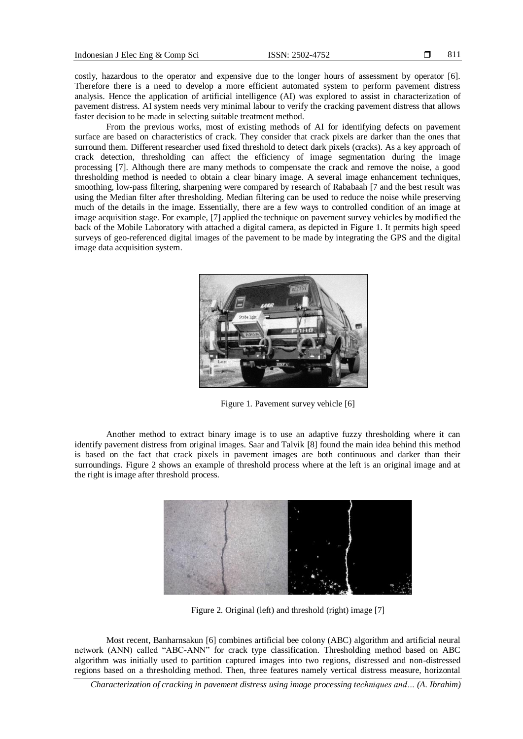costly, hazardous to the operator and expensive due to the longer hours of assessment by operator [6]. Therefore there is a need to develop a more efficient automated system to perform pavement distress analysis. Hence the application of artificial intelligence (AI) was explored to assist in characterization of pavement distress. AI system needs very minimal labour to verify the cracking pavement distress that allows faster decision to be made in selecting suitable treatment method.

From the previous works, most of existing methods of AI for identifying defects on pavement surface are based on characteristics of crack. They consider that crack pixels are darker than the ones that surround them. Different researcher used fixed threshold to detect dark pixels (cracks). As a key approach of crack detection, thresholding can affect the efficiency of image segmentation during the image processing [7]. Although there are many methods to compensate the crack and remove the noise, a good thresholding method is needed to obtain a clear binary image. A several image enhancement techniques, smoothing, low-pass filtering, sharpening were compared by research of Rababaah [7 and the best result was using the Median filter after thresholding. Median filtering can be used to reduce the noise while preserving much of the details in the image. Essentially, there are a few ways to controlled condition of an image at image acquisition stage. For example, [7] applied the technique on pavement survey vehicles by modified the back of the Mobile Laboratory with attached a digital camera, as depicted in Figure 1. It permits high speed surveys of geo-referenced digital images of the pavement to be made by integrating the GPS and the digital image data acquisition system.



Figure 1. Pavement survey vehicle [6]

Another method to extract binary image is to use an adaptive fuzzy thresholding where it can identify pavement distress from original images. Saar and Talvik [8] found the main idea behind this method is based on the fact that crack pixels in pavement images are both continuous and darker than their surroundings. Figure 2 shows an example of threshold process where at the left is an original image and at the right is image after threshold process.



Figure 2. Original (left) and threshold (right) image [7]

Most recent, Banharnsakun [6] combines artificial bee colony (ABC) algorithm and artificial neural network (ANN) called "ABC-ANN" for crack type classification. Thresholding method based on ABC algorithm was initially used to partition captured images into two regions, distressed and non-distressed regions based on a thresholding method. Then, three features namely vertical distress measure, horizontal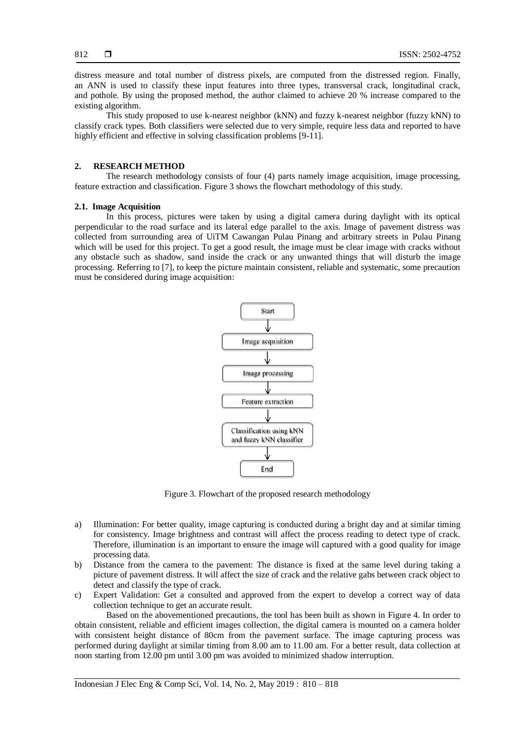distress measure and total number of distress pixels, are computed from the distressed region. Finally, an ANN is used to classify these input features into three types, transversal crack, longitudinal crack, and pothole. By using the proposed method, the author claimed to achieve 20 % increase compared to the existing algorithm.

This study proposed to use k-nearest neighbor (kNN) and fuzzy k-nearest neighbor (fuzzy kNN) to classify crack types. Both classifiers were selected due to very simple, require less data and reported to have highly efficient and effective in solving classification problems [9-11].

#### **2. RESEARCH METHOD**

The research methodology consists of four (4) parts namely image acquisition, image processing, feature extraction and classification. Figure 3 shows the flowchart methodology of this study.

#### **2.1. Image Acquisition**

In this process, pictures were taken by using a digital camera during daylight with its optical perpendicular to the road surface and its lateral edge parallel to the axis. Image of pavement distress was collected from surrounding area of UiTM Cawangan Pulau Pinang and arbitrary streets in Pulau Pinang which will be used for this project. To get a good result, the image must be clear image with cracks without any obstacle such as shadow, sand inside the crack or any unwanted things that will disturb the image processing. Referring to [7], to keep the picture maintain consistent, reliable and systematic, some precaution must be considered during image acquisition:



Figure 3. Flowchart of the proposed research methodology

- a) Illumination: For better quality, image capturing is conducted during a bright day and at similar timing for consistency. Image brightness and contrast will affect the process reading to detect type of crack. Therefore, illumination is an important to ensure the image will captured with a good quality for image processing data.
- b) Distance from the camera to the pavement: The distance is fixed at the same level during taking a picture of pavement distress. It will affect the size of crack and the relative gabs between crack object to detect and classify the type of crack.
- c) Expert Validation: Get a consulted and approved from the expert to develop a correct way of data collection technique to get an accurate result.

Based on the abovementioned precautions, the tool has been built as shown in Figure 4. In order to obtain consistent, reliable and efficient images collection, the digital camera is mounted on a camera holder with consistent height distance of 80cm from the pavement surface. The image capturing process was performed during daylight at similar timing from 8.00 am to 11.00 am. For a better result, data collection at noon starting from 12.00 pm until 3.00 pm was avoided to minimized shadow interruption.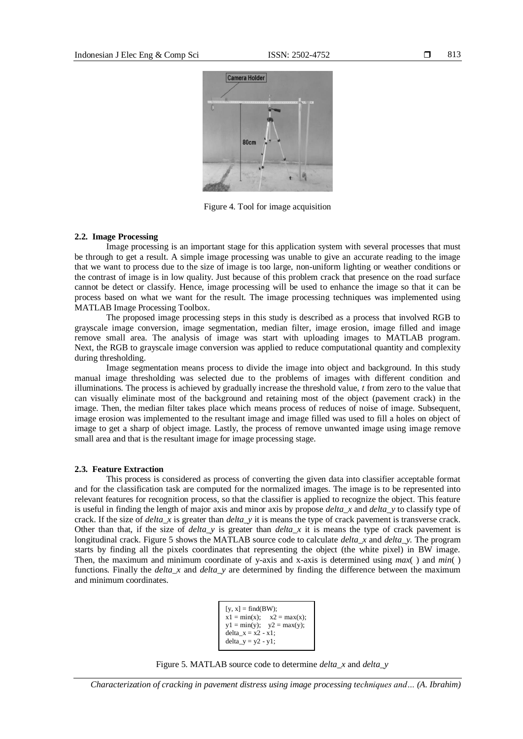

Figure 4. Tool for image acquisition

#### **2.2. Image Processing**

Image processing is an important stage for this application system with several processes that must be through to get a result. A simple image processing was unable to give an accurate reading to the image that we want to process due to the size of image is too large, non-uniform lighting or weather conditions or the contrast of image is in low quality. Just because of this problem crack that presence on the road surface cannot be detect or classify. Hence, image processing will be used to enhance the image so that it can be process based on what we want for the result. The image processing techniques was implemented using MATLAB Image Processing Toolbox.

The proposed image processing steps in this study is described as a process that involved RGB to grayscale image conversion, image segmentation, median filter, image erosion, image filled and image remove small area. The analysis of image was start with uploading images to MATLAB program. Next, the RGB to grayscale image conversion was applied to reduce computational quantity and complexity during thresholding.

Image segmentation means process to divide the image into object and background. In this study manual image thresholding was selected due to the problems of images with different condition and illuminations. The process is achieved by gradually increase the threshold value, *t* from zero to the value that can visually eliminate most of the background and retaining most of the object (pavement crack) in the image. Then, the median filter takes place which means process of reduces of noise of image. Subsequent, image erosion was implemented to the resultant image and image filled was used to fill a holes on object of image to get a sharp of object image. Lastly, the process of remove unwanted image using image remove small area and that is the resultant image for image processing stage.

#### **2.3. Feature Extraction**

This process is considered as process of converting the given data into classifier acceptable format and for the classification task are computed for the normalized images. The image is to be represented into relevant features for recognition process, so that the classifier is applied to recognize the object. This feature is useful in finding the length of major axis and minor axis by propose *delta\_x* and *delta\_y* to classify type of crack. If the size of *delta\_x* is greater than *delta\_y* it is means the type of crack pavement is transverse crack. Other than that, if the size of *delta*  $y$  is greater than *delta*  $x$  it is means the type of crack pavement is longitudinal crack. Figure 5 shows the MATLAB source code to calculate *delta\_x* and *delta\_y.* The program starts by finding all the pixels coordinates that representing the object (the white pixel) in BW image. Then, the maximum and minimum coordinate of y-axis and x-axis is determined using *max*( ) and *min*( ) functions. Finally the *delta\_x* and *delta\_y* are determined by finding the difference between the maximum and minimum coordinates.

```
[y, x] = \text{find}(BW);x1 = min(x); x2 = max(x);y1 = min(y); y2 = max(y);delta_x = x^2 - x^1;
delta_y = y2 - y1;
```
Figure 5. MATLAB source code to determine *delta\_x* and *delta\_y*

*Characterization of cracking in pavement distress using image processing techniques and… (A. Ibrahim)*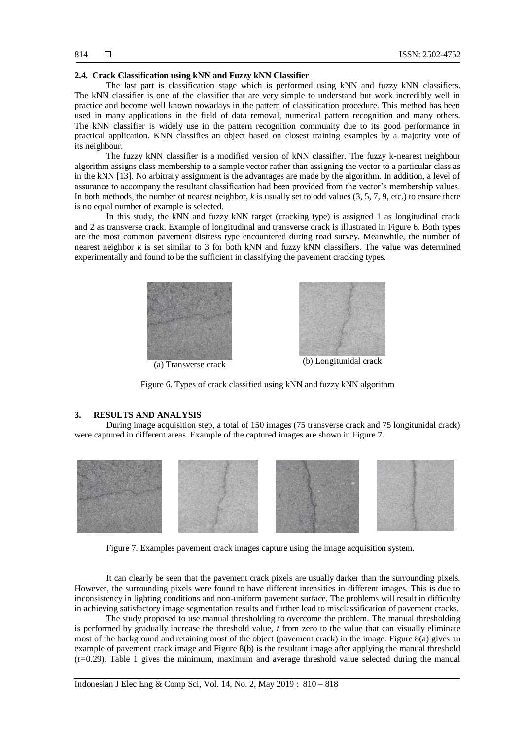#### **2.4. Crack Classification using kNN and Fuzzy kNN Classifier**

The last part is classification stage which is performed using kNN and fuzzy kNN classifiers. The kNN classifier is one of the classifier that are very simple to understand but work incredibly well in practice and become well known nowadays in the pattern of classification procedure. This method has been used in many applications in the field of data removal, numerical pattern recognition and many others. The kNN classifier is widely use in the pattern recognition community due to its good performance in practical application. KNN classifies an object based on closest training examples by a majority vote of its neighbour.

The fuzzy kNN classifier is a modified version of kNN classifier. The fuzzy k-nearest neighbour algorithm assigns class membership to a sample vector rather than assigning the vector to a particular class as in the kNN [13]. No arbitrary assignment is the advantages are made by the algorithm. In addition, a level of assurance to accompany the resultant classification had been provided from the vector's membership values. In both methods, the number of nearest neighbor, *k* is usually set to odd values (3, 5, 7, 9, etc.) to ensure there is no equal number of example is selected.

In this study, the kNN and fuzzy kNN target (cracking type) is assigned 1 as longitudinal crack and 2 as transverse crack. Example of longitudinal and transverse crack is illustrated in Figure 6. Both types are the most common pavement distress type encountered during road survey. Meanwhile, the number of nearest neighbor  $k$  is set similar to 3 for both kNN and fuzzy kNN classifiers. The value was determined experimentally and found to be the sufficient in classifying the pavement cracking types.





Figure 6. Types of crack classified using kNN and fuzzy kNN algorithm

#### **3. RESULTS AND ANALYSIS**

During image acquisition step, a total of 150 images (75 transverse crack and 75 longitunidal crack) were captured in different areas. Example of the captured images are shown in Figure 7.



Figure 7. Examples pavement crack images capture using the image acquisition system.

It can clearly be seen that the pavement crack pixels are usually darker than the surrounding pixels. However, the surrounding pixels were found to have different intensities in different images. This is due to inconsistency in lighting conditions and non-uniform pavement surface. The problems will result in difficulty in achieving satisfactory image segmentation results and further lead to misclassification of pavement cracks.

The study proposed to use manual thresholding to overcome the problem. The manual thresholding is performed by gradually increase the threshold value, *t* from zero to the value that can visually eliminate most of the background and retaining most of the object (pavement crack) in the image. Figure 8(a) gives an example of pavement crack image and Figure 8(b) is the resultant image after applying the manual threshold (*t=*0.29). Table 1 gives the minimum, maximum and average threshold value selected during the manual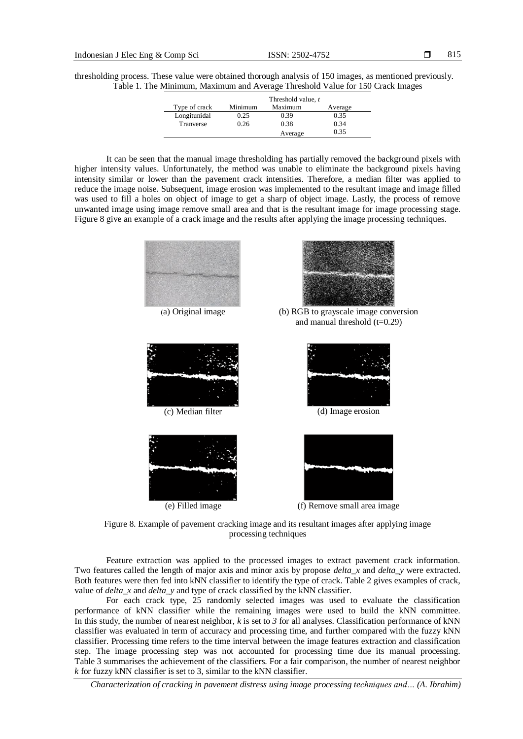thresholding process. These value were obtained thorough analysis of 150 images, as mentioned previously. Table 1. The Minimum, Maximum and Average Threshold Value for 150 Crack Images

|               |         | Threshold value, t |         |
|---------------|---------|--------------------|---------|
| Type of crack | Minimum | Maximum            | Average |
| Longitunidal  | 0.25    | 0.39               | 0.35    |
| Tranverse     | 0.26    | 0.38               | 0.34    |
|               |         | Average            | 0.35    |

It can be seen that the manual image thresholding has partially removed the background pixels with higher intensity values. Unfortunately, the method was unable to eliminate the background pixels having intensity similar or lower than the pavement crack intensities. Therefore, a median filter was applied to reduce the image noise. Subsequent, image erosion was implemented to the resultant image and image filled was used to fill a holes on object of image to get a sharp of object image. Lastly, the process of remove unwanted image using image remove small area and that is the resultant image for image processing stage. Figure 8 give an example of a crack image and the results after applying the image processing techniques.





(a) Original image (b) RGB to grayscale image conversion and manual threshold  $(t=0.29)$ 











Figure 8. Example of pavement cracking image and its resultant images after applying image processing techniques

Feature extraction was applied to the processed images to extract pavement crack information. Two features called the length of major axis and minor axis by propose *delta\_x* and *delta\_y* were extracted. Both features were then fed into kNN classifier to identify the type of crack. Table 2 gives examples of crack, value of *delta\_x* and *delta\_y* and type of crack classified by the kNN classifier.

For each crack type, 25 randomly selected images was used to evaluate the classification performance of kNN classifier while the remaining images were used to build the kNN committee. In this study, the number of nearest neighbor, *k* is set to *3* for all analyses. Classification performance of kNN classifier was evaluated in term of accuracy and processing time, and further compared with the fuzzy kNN classifier. Processing time refers to the time interval between the image features extraction and classification step. The image processing step was not accounted for processing time due its manual processing. Table 3 summarises the achievement of the classifiers. For a fair comparison, the number of nearest neighbor *k* for fuzzy kNN classifier is set to 3, similar to the kNN classifier.

*Characterization of cracking in pavement distress using image processing techniques and… (A. Ibrahim)*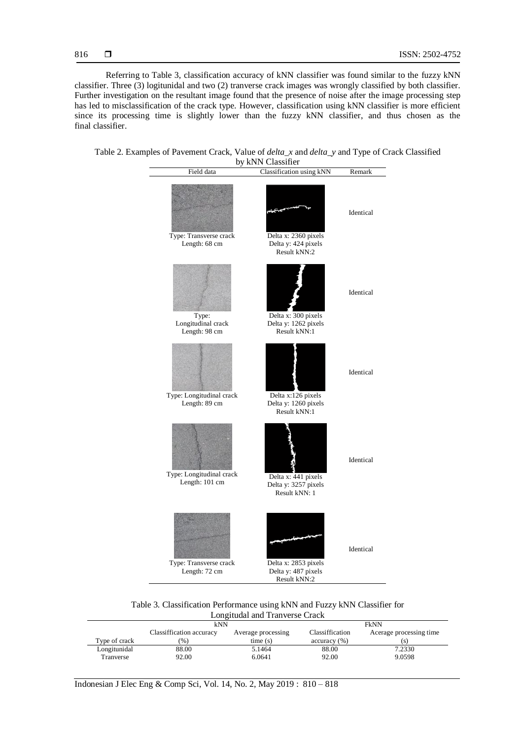Referring to Table 3, classification accuracy of kNN classifier was found similar to the fuzzy kNN classifier. Three (3) logitunidal and two (2) tranverse crack images was wrongly classified by both classifier. Further investigation on the resultant image found that the presence of noise after the image processing step has led to misclassification of the crack type. However, classification using kNN classifier is more efficient since its processing time is slightly lower than the fuzzy kNN classifier, and thus chosen as the final classifier.





Table 3. Classification Performance using kNN and Fuzzy kNN Classifier for Longitudal and Tranverse Crack

|               | kNN                      |                    | <b>FkNN</b>     |                         |
|---------------|--------------------------|--------------------|-----------------|-------------------------|
|               | Classiffication accuracy | Average processing | Classiffication | Acerage processing time |
| Type of crack | (96)                     | time(s)            | accuracy (%)    |                         |
| Longitunidal  | 88.00                    | 5.1464             | 88.00           | 7.2330                  |
| Tranverse     | 92.00                    | 6.0641             | 92.00           | 9.0598                  |

Indonesian J Elec Eng & Comp Sci, Vol. 14, No. 2, May 2019 : 810 – 818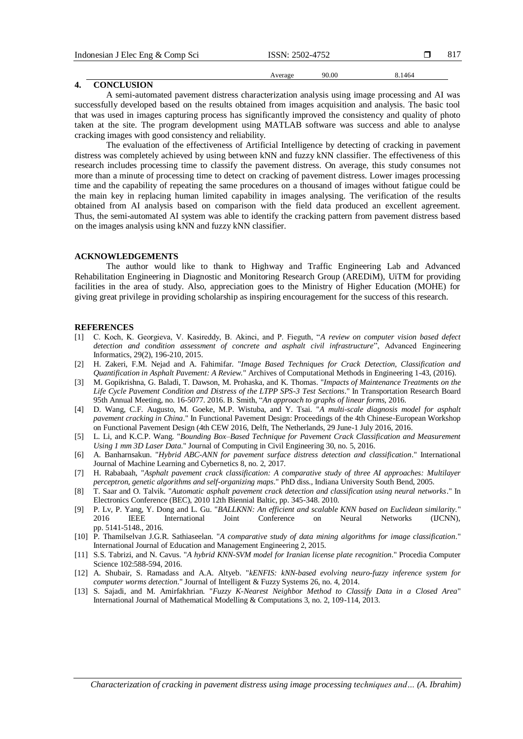| Indonesian J Elec Eng & Comp Sci | ISSN: 2502-4752 |       |        |  |
|----------------------------------|-----------------|-------|--------|--|
|                                  | Average         | 90.00 | 8.1464 |  |
| <b>CONCLUSION</b>                |                 |       |        |  |

#### A semi-automated pavement distress characterization analysis using image processing and AI was successfully developed based on the results obtained from images acquisition and analysis. The basic tool that was used in images capturing process has significantly improved the consistency and quality of photo taken at the site. The program development using MATLAB software was success and able to analyse cracking images with good consistency and reliability.

The evaluation of the effectiveness of Artificial Intelligence by detecting of cracking in pavement distress was completely achieved by using between kNN and fuzzy kNN classifier. The effectiveness of this research includes processing time to classify the pavement distress. On average, this study consumes not more than a minute of processing time to detect on cracking of pavement distress. Lower images processing time and the capability of repeating the same procedures on a thousand of images without fatigue could be the main key in replacing human limited capability in images analysing. The verification of the results obtained from AI analysis based on comparison with the field data produced an excellent agreement. Thus, the semi-automated AI system was able to identify the cracking pattern from pavement distress based on the images analysis using kNN and fuzzy kNN classifier.

## **ACKNOWLEDGEMENTS**

The author would like to thank to Highway and Traffic Engineering Lab and Advanced Rehabilitation Engineering in Diagnostic and Monitoring Research Group (AREDiM), UiTM for providing facilities in the area of study. Also, appreciation goes to the Ministry of Higher Education (MOHE) for giving great privilege in providing scholarship as inspiring encouragement for the success of this research.

### **REFERENCES**

- [1] C. Koch, K. Georgieva, V. Kasireddy, B. Akinci, and P. Fieguth, "*A review on computer vision based defect detection and condition assessment of concrete and asphalt civil infrastructure*", Advanced Engineering Informatics, 29(2), 196-210, 2015.
- [2] H. Zakeri, F.M. Nejad and A. Fahimifar. "*Image Based Techniques for Crack Detection, Classification and Quantification in Asphalt Pavement: A Review.*" Archives of Computational Methods in Engineering 1-43, (2016).
- [3] M. Gopikrishna, G. Baladi, T. Dawson, M. Prohaska, and K. Thomas. "*Impacts of Maintenance Treatments on the Life Cycle Pavement Condition and Distress of the LTPP SPS-3 Test Sections*." In Transportation Research Board 95th Annual Meeting, no. 16-5077. 2016. B. Smith, "*An approach to graphs of linear forms,* 2016.
- [4] D. Wang, C.F. Augusto, M. Goeke, M.P. Wistuba, and Y. Tsai. "*A multi-scale diagnosis model for asphalt pavement cracking in China*." In Functional Pavement Design: Proceedings of the 4th Chinese-European Workshop on Functional Pavement Design (4th CEW 2016, Delft, The Netherlands, 29 June-1 July 2016, 2016.
- [5] L. Li, and K.C.P. Wang. "*Bounding Box–Based Technique for Pavement Crack Classification and Measurement Using 1 mm 3D Laser Data*." Journal of Computing in Civil Engineering 30, no. 5, 2016.
- [6] A. Banharnsakun. "*Hybrid ABC-ANN for pavement surface distress detection and classification*." International Journal of Machine Learning and Cybernetics 8, no. 2, 2017.
- [7] H. Rababaah, "*Asphalt pavement crack classification: A comparative study of three AI approaches: Multilayer perceptron, genetic algorithms and self-organizing maps*." PhD diss., Indiana University South Bend, 2005.
- [8] T. Saar and O. Talvik. "*Automatic asphalt pavement crack detection and classification using neural networks*." In Electronics Conference (BEC), 2010 12th Biennial Baltic, pp. 345-348. 2010.
- [9] P. Lv, P. Yang, Y. Dong and L. Gu. "*BALLKNN: An efficient and scalable KNN based on Euclidean similarity.*" 2016 IEEE International Joint Conference on Neural Networks (IJCNN), pp. 5141-5148., 2016.
- [10] P. Thamilselvan J.G.R. Sathiaseelan. "*A comparative study of data mining algorithms for image classification*." International Journal of Education and Management Engineering 2, 2015.
- [11] S.S. Tabrizi, and N. Cavus. "*A hybrid KNN-SVM model for Iranian license plate recognition*." Procedia Computer Science 102:588-594, 2016.
- [12] A. Shubair, S. Ramadass and A.A. Altyeb. "*kENFIS: kNN-based evolving neuro-fuzzy inference system for computer worms detection*." Journal of Intelligent & Fuzzy Systems 26, no. 4, 2014.
- [13] S. Sajadi, and M. Amirfakhrian. "*Fuzzy K-Nearest Neighbor Method to Classify Data in a Closed Area*" International Journal of Mathematical Modelling & Computations 3, no. 2, 109-114, 2013.